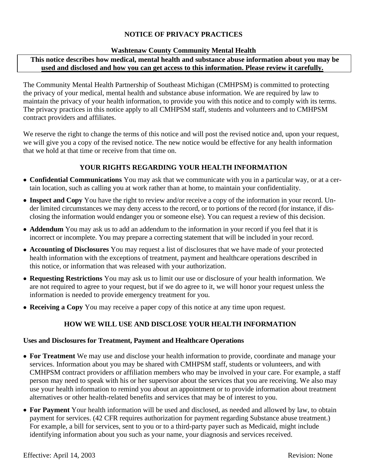# **NOTICE OF PRIVACY PRACTICES**

#### **Washtenaw County Community Mental Health**

# **This notice describes how medical, mental health and substance abuse information about you may be used and disclosed and how you can get access to this information. Please review it carefully.**

The Community Mental Health Partnership of Southeast Michigan (CMHPSM) is committed to protecting the privacy of your medical, mental health and substance abuse information. We are required by law to maintain the privacy of your health information, to provide you with this notice and to comply with its terms. The privacy practices in this notice apply to all CMHPSM staff, students and volunteers and to CMHPSM contract providers and affiliates.

We reserve the right to change the terms of this notice and will post the revised notice and, upon your request, we will give you a copy of the revised notice. The new notice would be effective for any health information that we hold at that time or receive from that time on.

# **YOUR RIGHTS REGARDING YOUR HEALTH INFORMATION**

- **Confidential Communications** You may ask that we communicate with you in a particular way, or at a certain location, such as calling you at work rather than at home, to maintain your confidentiality.
- **Inspect and Copy** You have the right to review and/or receive a copy of the information in your record. Under limited circumstances we may deny access to the record, or to portions of the record (for instance, if disclosing the information would endanger you or someone else). You can request a review of this decision.
- **Addendum** You may ask us to add an addendum to the information in your record if you feel that it is incorrect or incomplete. You may prepare a correcting statement that will be included in your record.
- **Accounting of Disclosures** You may request a list of disclosures that we have made of your protected health information with the exceptions of treatment, payment and healthcare operations described in this notice, or information that was released with your authorization.
- **Requesting Restrictions** You may ask us to limit our use or disclosure of your health information. We are not required to agree to your request, but if we do agree to it, we will honor your request unless the information is needed to provide emergency treatment for you.
- **Receiving a Copy** You may receive a paper copy of this notice at any time upon request.

### **HOW WE WILL USE AND DISCLOSE YOUR HEALTH INFORMATION**

#### **Uses and Disclosures for Treatment, Payment and Healthcare Operations**

- **For Treatment** We may use and disclose your health information to provide, coordinate and manage your services. Information about you may be shared with CMHPSM staff, students or volunteers, and with CMHPSM contract providers or affiliation members who may be involved in your care. For example, a staff person may need to speak with his or her supervisor about the services that you are receiving. We also may use your health information to remind you about an appointment or to provide information about treatment alternatives or other health-related benefits and services that may be of interest to you.
- **For Payment** Your health information will be used and disclosed, as needed and allowed by law, to obtain payment for services. (42 CFR requires authorization for payment regarding Substance abuse treatment.) For example, a bill for services, sent to you or to a third-party payer such as Medicaid, might include identifying information about you such as your name, your diagnosis and services received.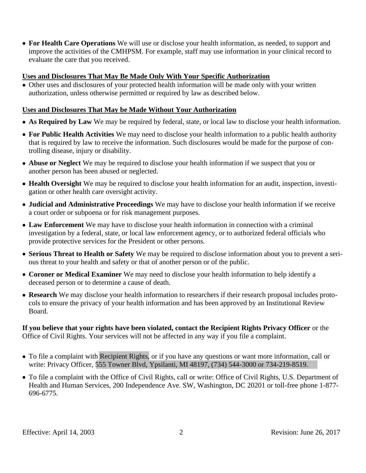• **For Health Care Operations** We will use or disclose your health information, as needed, to support and improve the activities of the CMHPSM. For example, staff may use information in your clinical record to evaluate the care that you received.

### **Uses and Disclosures That May Be Made Only With Your Specific Authorization**

• Other uses and disclosures of your protected health information will be made only with your written authorization, unless otherwise permitted or required by law as described below.

# **Uses and Disclosures That May be Made Without Your Authorization**

- **As Required by Law** We may be required by federal, state, or local law to disclose your health information.
- **For Public Health Activities** We may need to disclose your health information to a public health authority that is required by law to receive the information. Such disclosures would be made for the purpose of controlling disease, injury or disability.
- **Abuse or Neglect** We may be required to disclose your health information if we suspect that you or another person has been abused or neglected.
- **Health Oversight** We may be required to disclose your health information for an audit, inspection, investigation or other health care oversight activity.
- **Judicial and Administrative Proceedings** We may have to disclose your health information if we receive a court order or subpoena or for risk management purposes.
- **Law Enforcement** We may have to disclose your health information in connection with a criminal investigation by a federal, state, or local law enforcement agency, or to authorized federal officials who provide protective services for the President or other persons.
- **Serious Threat to Health or Safety** We may be required to disclose information about you to prevent a serious threat to your health and safety or that of another person or of the public.
- **Coroner or Medical Examiner** We may need to disclose your health information to help identify a deceased person or to determine a cause of death.
- **Research** We may disclose your health information to researchers if their research proposal includes protocols to ensure the privacy of your health information and has been approved by an Institutional Review Board.

### **If you believe that your rights have been violated, contact the Recipient Rights Privacy Officer** or the Office of Civil Rights. Your services will not be affected in any way if you file a complaint.

- To file a complaint with Recipient Rights, or if you have any questions or want more information, call or write: Privacy Officer, 555 Towner Blvd, Ypsilanti, MI 48197, (734) 544-3000 or 734-219-8519.
- To file a complaint with the Office of Civil Rights, call or write: Office of Civil Rights, U.S. Department of Health and Human Services, 200 Independence Ave. SW, Washington, DC 20201 or toll-free phone 1-877- 696-6775.